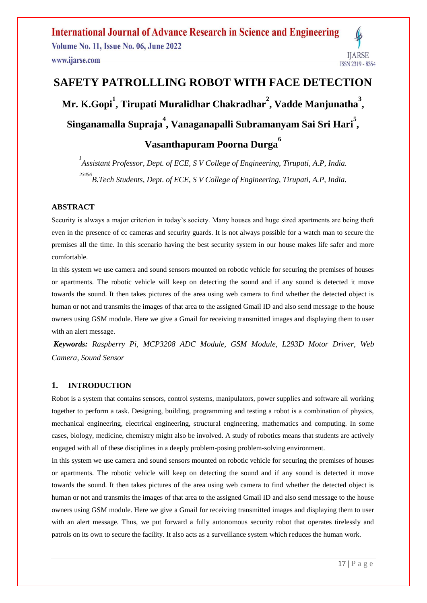#### **International Journal of Advance Research in Science and Engineering Volume No. 11, Issue No. 06, June 2022** IJARSE www.ijarse.com ISSN 2319 - 8354

# **SAFETY PATROLLLING ROBOT WITH FACE DETECTION Mr. K.Gopi<sup>1</sup> , Tirupati Muralidhar Chakradhar<sup>2</sup> , Vadde Manjunatha<sup>3</sup> , Singanamalla Supraja<sup>4</sup> , Vanaganapalli Subramanyam Sai Sri Hari<sup>5</sup> , Vasanthapuram Poorna Durga<sup>6</sup>**

*1 Assistant Professor, Dept. of ECE, S V College of Engineering, Tirupati, A.P, India. 23456 B.Tech Students, Dept. of ECE, S V College of Engineering, Tirupati, A.P, India.*

#### **ABSTRACT**

Security is always a major criterion in today's society. Many houses and huge sized apartments are being theft even in the presence of cc cameras and security guards. It is not always possible for a watch man to secure the premises all the time. In this scenario having the best security system in our house makes life safer and more comfortable.

In this system we use camera and sound sensors mounted on robotic vehicle for securing the premises of houses or apartments. The robotic vehicle will keep on detecting the sound and if any sound is detected it move towards the sound. It then takes pictures of the area using web camera to find whether the detected object is human or not and transmits the images of that area to the assigned Gmail ID and also send message to the house owners using GSM module. Here we give a Gmail for receiving transmitted images and displaying them to user with an alert message.

*Keywords: Raspberry Pi, MCP3208 ADC Module, GSM Module, L293D Motor Driver, Web Camera, Sound Sensor*

#### **1. INTRODUCTION**

Robot is a system that contains sensors, control systems, manipulators, power supplies and software all working together to perform a task. Designing, building, programming and testing a robot is a combination of physics, mechanical engineering, electrical engineering, structural engineering, mathematics and computing. In some cases, biology, medicine, chemistry might also be involved. A study of robotics means that students are actively engaged with all of these disciplines in a deeply problem-posing problem-solving environment.

In this system we use camera and sound sensors mounted on robotic vehicle for securing the premises of houses or apartments. The robotic vehicle will keep on detecting the sound and if any sound is detected it move towards the sound. It then takes pictures of the area using web camera to find whether the detected object is human or not and transmits the images of that area to the assigned Gmail ID and also send message to the house owners using GSM module. Here we give a Gmail for receiving transmitted images and displaying them to user with an alert message. Thus, we put forward a fully autonomous security robot that operates tirelessly and patrols on its own to secure the facility. It also acts as a surveillance system which reduces the human work.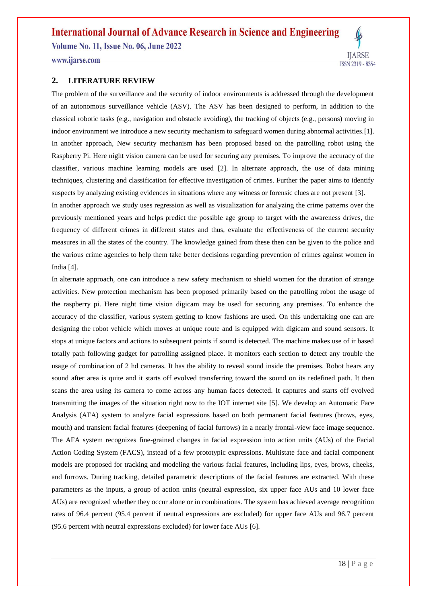## **International Journal of Advance Research in Science and Engineering**

**Volume No. 11, Issue No. 06, June 2022** 

www.ijarse.com

#### **2. LITERATURE REVIEW**

The problem of the surveillance and the security of indoor environments is addressed through the development of an autonomous surveillance vehicle (ASV). The ASV has been designed to perform, in addition to the classical robotic tasks (e.g., navigation and obstacle avoiding), the tracking of objects (e.g., persons) moving in indoor environment we introduce a new security mechanism to safeguard women during abnormal activities.[1]. In another approach, New security mechanism has been proposed based on the patrolling robot using the Raspberry Pi. Here night vision camera can be used for securing any premises. To improve the accuracy of the classifier, various machine learning models are used [2]. In alternate approach, the use of data mining techniques, clustering and classification for effective investigation of crimes. Further the paper aims to identify suspects by analyzing existing evidences in situations where any witness or forensic clues are not present [3].

In another approach we study uses regression as well as visualization for analyzing the crime patterns over the previously mentioned years and helps predict the possible age group to target with the awareness drives, the frequency of different crimes in different states and thus, evaluate the effectiveness of the current security measures in all the states of the country. The knowledge gained from these then can be given to the police and the various crime agencies to help them take better decisions regarding prevention of crimes against women in India [4].

In alternate approach, one can introduce a new safety mechanism to shield women for the duration of strange activities. New protection mechanism has been proposed primarily based on the patrolling robot the usage of the raspberry pi. Here night time vision digicam may be used for securing any premises. To enhance the accuracy of the classifier, various system getting to know fashions are used. On this undertaking one can are designing the robot vehicle which moves at unique route and is equipped with digicam and sound sensors. It stops at unique factors and actions to subsequent points if sound is detected. The machine makes use of ir based totally path following gadget for patrolling assigned place. It monitors each section to detect any trouble the usage of combination of 2 hd cameras. It has the ability to reveal sound inside the premises. Robot hears any sound after area is quite and it starts off evolved transferring toward the sound on its redefined path. It then scans the area using its camera to come across any human faces detected. It captures and starts off evolved transmitting the images of the situation right now to the IOT internet site [5]. We develop an Automatic Face Analysis (AFA) system to analyze facial expressions based on both permanent facial features (brows, eyes, mouth) and transient facial features (deepening of facial furrows) in a nearly frontal-view face image sequence. The AFA system recognizes fine-grained changes in facial expression into action units (AUs) of the Facial Action Coding System (FACS), instead of a few prototypic expressions. Multistate face and facial component models are proposed for tracking and modeling the various facial features, including lips, eyes, brows, cheeks, and furrows. During tracking, detailed parametric descriptions of the facial features are extracted. With these parameters as the inputs, a group of action units (neutral expression, six upper face AUs and 10 lower face AUs) are recognized whether they occur alone or in combinations. The system has achieved average recognition rates of 96.4 percent (95.4 percent if neutral expressions are excluded) for upper face AUs and 96.7 percent (95.6 percent with neutral expressions excluded) for lower face AUs [6].

**IJARSE** 

ISSN 2319 - 8354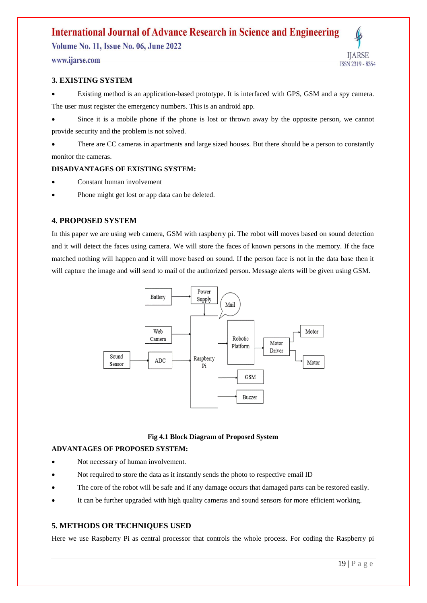# **International Journal of Advance Research in Science and Engineering**

**Volume No. 11, Issue No. 06, June 2022** 

www.ijarse.com

#### **3. EXISTING SYSTEM**

 Existing method is an application-based prototype. It is interfaced with GPS, GSM and a spy camera. The user must register the emergency numbers. This is an android app.

 Since it is a mobile phone if the phone is lost or thrown away by the opposite person, we cannot provide security and the problem is not solved.

 There are CC cameras in apartments and large sized houses. But there should be a person to constantly monitor the cameras.

#### **DISADVANTAGES OF EXISTING SYSTEM:**

- Constant human involvement
- Phone might get lost or app data can be deleted.

#### **4. PROPOSED SYSTEM**

In this paper we are using web camera, GSM with raspberry pi. The robot will moves based on sound detection and it will detect the faces using camera. We will store the faces of known persons in the memory. If the face matched nothing will happen and it will move based on sound. If the person face is not in the data base then it will capture the image and will send to mail of the authorized person. Message alerts will be given using GSM.



#### **Fig 4.1 Block Diagram of Proposed System**

#### **ADVANTAGES OF PROPOSED SYSTEM:**

- Not necessary of human involvement.
- Not required to store the data as it instantly sends the photo to respective email ID
- The core of the robot will be safe and if any damage occurs that damaged parts can be restored easily.
- It can be further upgraded with high quality cameras and sound sensors for more efficient working.

### **5. METHODS OR TECHNIQUES USED**

Here we use Raspberry Pi as central processor that controls the whole process. For coding the Raspberry pi

IJARSE

ISSN 2319 - 8354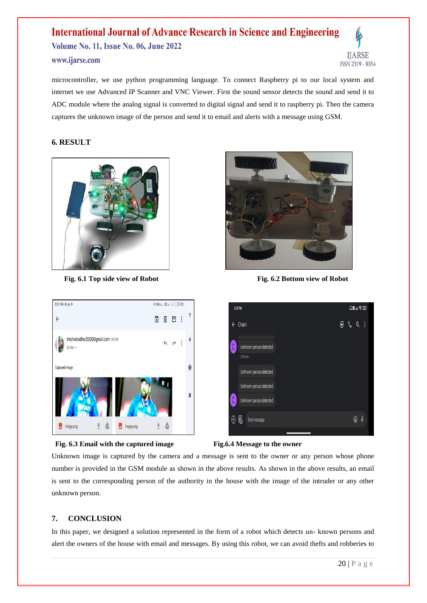# **International Journal of Advance Research in Science and Engineering** Volume No. 11, Issue No. 06, June 2022 www.ijarse.com



microcontroller, we use python programming language. To connect Raspberry pi to our local system and internet we use Advanced IP Scanner and VNC Viewer. First the sound sensor detects the sound and send it to ADC module where the analog signal is converted to digital signal and send it to raspberry pi. Then the camera captures the unknown image of the person and send it to email and alerts with a message using GSM.

#### **6. RESULT**



**Fig. 6.1 Top side view of Robot** Fig. 6.2 Bottom view of Robot











Unknown image is captured by the camera and a message is sent to the owner or any person whose phone number is provided in the GSM module as shown in the above results. As shown in the above results, an email is sent to the corresponding person of the authority in the house with the image of the intruder or any other unknown person.

### **7. CONCLUSION**

In this paper, we designed a solution represented in the form of a robot which detects un- known persons and alert the owners of the house with email and messages. By using this robot, we can avoid thefts and robberies to